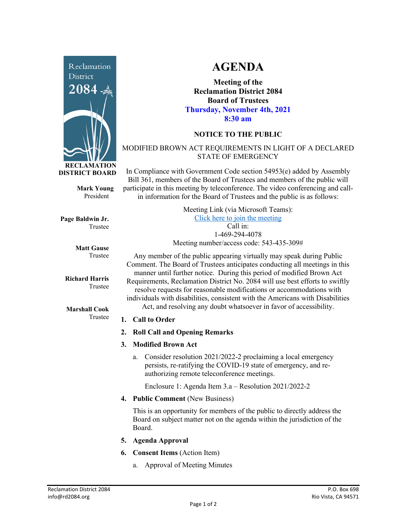

**Mark Young** President

**Page Baldwin Jr.** Trustee

> **Matt Gause** Trustee

**Richard Harris** Trustee

**Marshall Cook** Trustee

# **AGENDA**

**Meeting of the Reclamation District 2084 Board of Trustees Thursday, November 4th, 2021 8:30 am**

## **NOTICE TO THE PUBLIC**

#### MODIFIED BROWN ACT REQUIREMENTS IN LIGHT OF A DECLARED STATE OF EMERGENCY

In Compliance with Government Code section 54953(e) added by Assembly Bill 361, members of the Board of Trustees and members of the public will participate in this meeting by teleconference. The video conferencing and callin information for the Board of Trustees and the public is as follows:

| Meeting Link (via Microsoft Teams):      |
|------------------------------------------|
| Click here to join the meeting           |
| $Call$ in:                               |
| 1-469-294-4078                           |
| Meeting number/access code: 543-435-309# |

Any member of the public appearing virtually may speak during Public Comment. The Board of Trustees anticipates conducting all meetings in this manner until further notice. During this period of modified Brown Act Requirements, Reclamation District No. 2084 will use best efforts to swiftly resolve requests for reasonable modifications or accommodations with individuals with disabilities, consistent with the Americans with Disabilities Act, and resolving any doubt whatsoever in favor of accessibility.

#### **1. Call to Order**

- **2. Roll Call and Opening Remarks**
- **3. Modified Brown Act**
	- a. Consider resolution 2021/2022-2 proclaiming a local emergency persists, re-ratifying the COVID-19 state of emergency, and reauthorizing remote teleconference meetings.

Enclosure 1: Agenda Item 3.a – Resolution 2021/2022-2

**4. Public Comment** (New Business)

This is an opportunity for members of the public to directly address the Board on subject matter not on the agenda within the jurisdiction of the Board.

- **5. Agenda Approval**
- **6. Consent Items** (Action Item)
	- a. Approval of Meeting Minutes